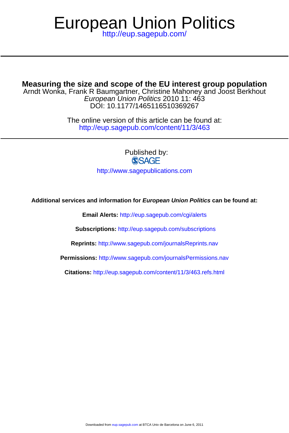## <http://eup.sagepub.com/> European Union Politics

**Measuring the size and scope of the EU interest group population**

DOI: 10.1177/1465116510369267 European Union Politics 2010 11: 463 Arndt Wonka, Frank R Baumgartner, Christine Mahoney and Joost Berkhout

> <http://eup.sagepub.com/content/11/3/463> The online version of this article can be found at:

> > Published by:<br>
> > SAGE <http://www.sagepublications.com>

**Additional services and information for European Union Politics can be found at:**

**Email Alerts:** <http://eup.sagepub.com/cgi/alerts>

**Subscriptions:** <http://eup.sagepub.com/subscriptions>

**Reprints:** <http://www.sagepub.com/journalsReprints.nav>

**Permissions:** <http://www.sagepub.com/journalsPermissions.nav>

**Citations:** <http://eup.sagepub.com/content/11/3/463.refs.html>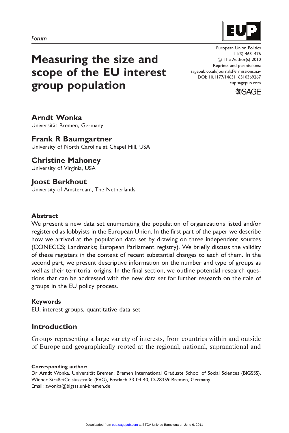

# Measuring the size and scope of the EU interest group population

European Union Politics 11(3) 463–476 (c) The Author(s) 2010 Reprints and permissions: sagepub.co.uk/journalsPermissions.nav DOI: 10.1177/1465116510369267 eup.sagepub.com



Arndt Wonka Universität Bremen, Germany

## Frank R Baumgartner

University of North Carolina at Chapel Hill, USA

## Christine Mahoney

University of Virginia, USA

### Joost Berkhout

University of Amsterdam, The Netherlands

#### Abstract

We present a new data set enumerating the population of organizations listed and/or registered as lobbyists in the European Union. In the first part of the paper we describe how we arrived at the population data set by drawing on three independent sources (CONECCS; Landmarks; European Parliament registry). We briefly discuss the validity of these registers in the context of recent substantial changes to each of them. In the second part, we present descriptive information on the number and type of groups as well as their territorial origins. In the final section, we outline potential research questions that can be addressed with the new data set for further research on the role of groups in the EU policy process.

#### Keywords

EU, interest groups, quantitative data set

## Introduction

Groups representing a large variety of interests, from countries within and outside of Europe and geographically rooted at the regional, national, supranational and

#### Corresponding author:

Dr Arndt Wonka, Universität Bremen, Bremen International Graduate School of Social Sciences (BIGSSS), Wiener Straße/Celsiusstraße (FVG), Postfach 33 04 40, D-28359 Bremen, Germany. Email: awonka@bigsss.uni-bremen.de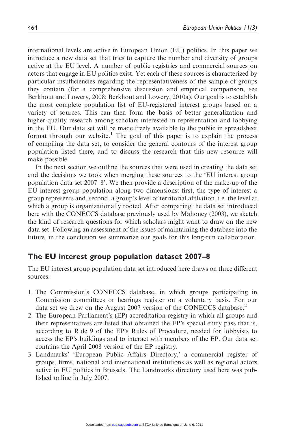international levels are active in European Union (EU) politics. In this paper we introduce a new data set that tries to capture the number and diversity of groups active at the EU level. A number of public registries and commercial sources on actors that engage in EU politics exist. Yet each of these sources is characterized by particular insufficiencies regarding the representativeness of the sample of groups they contain (for a comprehensive discussion and empirical comparison, see Berkhout and Lowery, 2008; Berkhout and Lowery, 2010a). Our goal is to establish the most complete population list of EU-registered interest groups based on a variety of sources. This can then form the basis of better generalization and higher-quality research among scholars interested in representation and lobbying in the EU. Our data set will be made freely available to the public in spreadsheet format through our website.<sup>1</sup> The goal of this paper is to explain the process of compiling the data set, to consider the general contours of the interest group population listed there, and to discuss the research that this new resource will make possible.

In the next section we outline the sources that were used in creating the data set and the decisions we took when merging these sources to the 'EU interest group population data set 2007–8'. We then provide a description of the make-up of the EU interest group population along two dimensions: first, the type of interest a group represents and, second, a group's level of territorial affiliation, i.e. the level at which a group is organizationally rooted. After comparing the data set introduced here with the CONECCS database previously used by Mahoney (2003), we sketch the kind of research questions for which scholars might want to draw on the new data set. Following an assessment of the issues of maintaining the database into the future, in the conclusion we summarize our goals for this long-run collaboration.

#### The EU interest group population dataset 2007–8

The EU interest group population data set introduced here draws on three different sources:

- 1. The Commission's CONECCS database, in which groups participating in Commission committees or hearings register on a voluntary basis. For our data set we drew on the August 2007 version of the CONECCS database.<sup>2</sup>
- 2. The European Parliament's (EP) accreditation registry in which all groups and their representatives are listed that obtained the EP's special entry pass that is, according to Rule 9 of the EP's Rules of Procedure, needed for lobbyists to access the EP's buildings and to interact with members of the EP. Our data set contains the April 2008 version of the EP registry.
- 3. Landmarks' 'European Public Affairs Directory,' a commercial register of groups, firms, national and international institutions as well as regional actors active in EU politics in Brussels. The Landmarks directory used here was published online in July 2007.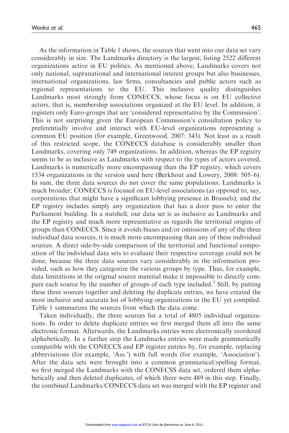As the information in Table 1 shows, the sources that went into our data set vary considerably in size. The Landmarks directory is the largest, listing 2522 different organizations active in EU politics. As mentioned above, Landmarks covers not only national, supranational and international interest groups but also businesses, international organizations, law firms, consultancies and public actors such as regional representations to the EU. This inclusive quality distinguishes Landmarks most strongly from CONECCS, whose focus is on EU collective actors, that is, membership associations organized at the EU level. In addition, it registers only Euro-groups that are 'considered representative by the Commission'. This is not surprising given the European Commission's consultation policy to preferentially involve and interact with EU-level organizations representing a common EU position (for example, Greenwood, 2007: 343). Not least as a result of this restricted scope, the CONECCS database is considerably smaller than Landmarks, covering only 749 organizations. In addition, whereas the EP registry seems to be as inclusive as Landmarks with respect to the types of actors covered, Landmarks is numerically more encompassing than the EP registry, which covers 1534 organizations in the version used here (Berkhout and Lowery, 2008: 505–6). In sum, the three data sources do not cover the same populations. Landmarks is much broader; CONECCS is focused on EU-level associations (as opposed to, say, corporations that might have a significant lobbying presence in Brussels); and the EP registry includes simply any organization that has a door pass to enter the Parliament building. In a nutshell, our data set is as inclusive as Landmarks and the EP registry and much more representative as regards the territorial origins of groups than CONECCS. Since it avoids biases and/or omissions of any of the three individual data sources, it is much more encompassing than any of these individual sources. A direct side-by-side comparison of the territorial and functional composition of the individual data sets to evaluate their respective coverage could not be done, because the three data sources vary considerably in the information provided, such as how they categorize the various groups by type. Thus, for example, data limitations in the original source material make it impossible to directly compare each source by the number of groups of each type included.<sup>3</sup> Still, by putting these three sources together and deleting the duplicate entries, we have created the most inclusive and accurate list of lobbying organizations in the EU yet compiled. Table 1 summarizes the sources from which the data come.

Taken individually, the three sources list a total of 4805 individual organizations. In order to delete duplicate entries we first merged them all into the same electronic format. Afterwards, the Landmarks entries were electronically reordered alphabetically. In a further step the Landmarks entries were made grammatically compatible with the CONECCS and EP register entries by, for example, replacing abbreviations (for example, 'Ass.') with full words (for example, 'Association'). After the data sets were brought into a common grammatical/spelling format, we first merged the Landmarks with the CONECSS data set, ordered them alphabetically and then deleted duplicates, of which there were 489 in this step. Finally, the combined Landmarks/CONECCS data set was merged with the EP register and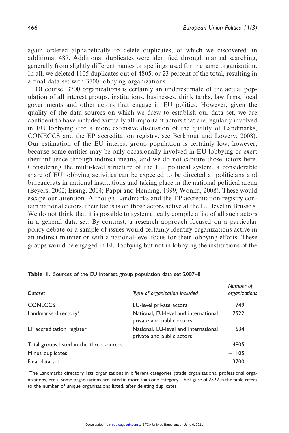again ordered alphabetically to delete duplicates, of which we discovered an additional 487. Additional duplicates were identified through manual searching, generally from slightly different names or spellings used for the same organization. In all, we deleted 1105 duplicates out of 4805, or 23 percent of the total, resulting in a final data set with 3700 lobbying organizations.

Of course, 3700 organizations is certainly an underestimate of the actual population of all interest groups, institutions, businesses, think tanks, law firms, local governments and other actors that engage in EU politics. However, given the quality of the data sources on which we drew to establish our data set, we are confident to have included virtually all important actors that are regularly involved in EU lobbying (for a more extensive discussion of the quality of Landmarks, CONECCS and the EP accreditation registry, see Berkhout and Lowery, 2008). Our estimation of the EU interest group population is certainly low, however, because some entities may be only occasionally involved in EU lobbying or exert their influence through indirect means, and we do not capture those actors here. Considering the multi-level structure of the EU political system, a considerable share of EU lobbying activities can be expected to be directed at politicians and bureaucrats in national institutions and taking place in the national political arena (Beyers, 2002; Eising, 2004; Pappi and Henning, 1999; Wonka, 2008). These would escape our attention. Although Landmarks and the EP accreditation registry contain national actors, their focus is on those actors active at the EU level in Brussels. We do not think that it is possible to systematically compile a list of all such actors in a general data set. By contrast, a research approach focused on a particular policy debate or a sample of issues would certainly identify organizations active in an indirect manner or with a national-level focus for their lobbying efforts. These groups would be engaged in EU lobbying but not in lobbying the institutions of the

| Dataset                                  | Type of organization included                                     | Number of<br>organizations |
|------------------------------------------|-------------------------------------------------------------------|----------------------------|
| <b>CONECCS</b>                           | EU-level private actors                                           | 749                        |
| Landmarks directory <sup>a</sup>         | National, EU-level and international<br>private and public actors | 2522                       |
| EP accreditation register                | National, EU-level and international<br>private and public actors | 1534                       |
| Total groups listed in the three sources |                                                                   | 4805                       |
| Minus duplicates                         |                                                                   | $-1105$                    |
| Final data set                           |                                                                   | 3700                       |

Table 1. Sources of the EU interest group population data set 2007–8

<sup>a</sup>The Landmarks directory lists organizations in different categories (trade organizations, professional organizations, etc.). Some organizations are listed in more than one category. The figure of 2522 in the table refers to the number of unique organizations listed, after deleting duplicates.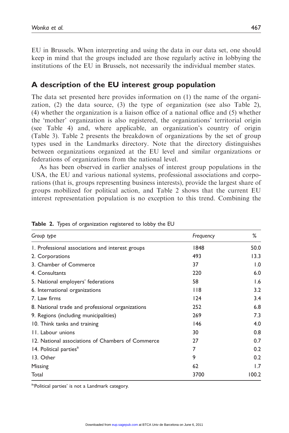EU in Brussels. When interpreting and using the data in our data set, one should keep in mind that the groups included are those regularly active in lobbying the institutions of the EU in Brussels, not necessarily the individual member states.

## A description of the EU interest group population

The data set presented here provides information on (1) the name of the organization, (2) the data source, (3) the type of organization (see also Table 2), (4) whether the organization is a liaison office of a national office and (5) whether the 'mother' organization is also registered, the organizations' territorial origin (see Table 4) and, where applicable, an organization's country of origin (Table 3). Table 2 presents the breakdown of organizations by the set of group types used in the Landmarks directory. Note that the directory distinguishes between organizations organized at the EU level and similar organizations or federations of organizations from the national level.

As has been observed in earlier analyses of interest group populations in the USA, the EU and various national systems, professional associations and corporations (that is, groups representing business interests), provide the largest share of groups mobilized for political action, and Table 2 shows that the current EU interest representation population is no exception to this trend. Combining the

| Group type                                        | Frequency | ℅     |
|---------------------------------------------------|-----------|-------|
| 1. Professional associations and interest groups  | 1848      | 50.0  |
| 2. Corporations                                   | 493       | 13.3  |
| 3. Chamber of Commerce                            | 37        | 1.0   |
| 4. Consultants                                    | 220       | 6.0   |
| 5. National employers' federations                | 58        | 1.6   |
| 6. International organizations                    | $ $ $ $ 8 | 3.2   |
| 7. Law firms                                      | 124       | 3.4   |
| 8. National trade and professional organizations  | 252       | 6.8   |
| 9. Regions (including municipalities)             | 269       | 7.3   |
| 10. Think tanks and training                      | 146       | 4.0   |
| II. Labour unions                                 | 30        | 0.8   |
| 12. National associations of Chambers of Commerce | 27        | 0.7   |
| 14. Political parties <sup>a</sup>                | 7         | 0.2   |
| 13. Other                                         | 9         | 0.2   |
| Missing                                           | 62        | 1.7   |
| Total                                             | 3700      | 100.2 |

Table 2. Types of organization registered to lobby the EU

<sup>a</sup>'Political parties' is not a Landmark category.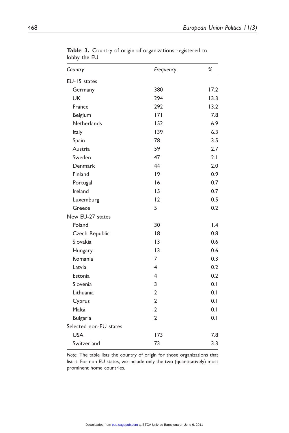| Country                | Frequency      | %               |
|------------------------|----------------|-----------------|
| EU-15 states           |                |                 |
| Germany                | 380            | 17.2            |
| <b>UK</b>              | 294            | 13.3            |
| France                 | 292            | 13.2            |
| Belgium                | 7              | 7.8             |
| <b>Netherlands</b>     | 152            | 6.9             |
| Italy                  | 139            | 6.3             |
| Spain                  | 78             | 3.5             |
| Austria                | 59             | 2.7             |
| Sweden                 | 47             | 2.1             |
| Denmark                | 44             | 2.0             |
| Finland                | 9              | 0.9             |
| Portugal               | 16             | 0.7             |
| Ireland                | 15             | 0.7             |
| Luxemburg              | 12             | 0.5             |
| Greece                 | 5              | 0.2             |
| New EU-27 states       |                |                 |
| Poland                 | 30             | $\mathsf{I}$ .4 |
| Czech Republic         | 18             | 0.8             |
| Slovakia               | 13             | 0.6             |
| Hungary                | 13             | 0.6             |
| Romania                | 7              | 0.3             |
| Latvia                 | 4              | 0.2             |
| Estonia                | 4              | 0.2             |
| Slovenia               | 3              | 0.1             |
| Lithuania              | $\overline{2}$ | 0.1             |
| Cyprus                 | $\overline{2}$ | 0.1             |
| Malta                  | $\overline{2}$ | 0.1             |
| <b>Bulgaria</b>        | $\overline{2}$ | 0.1             |
| Selected non-EU states |                |                 |
| <b>USA</b>             | 173            | 7.8             |
| Switzerland            | 73             | 3.3             |

Table 3. Country of origin of organizations registered to lobby the EU

Note: The table lists the country of origin for those organizations that list it. For non-EU states, we include only the two (quantitatively) most prominent home countries.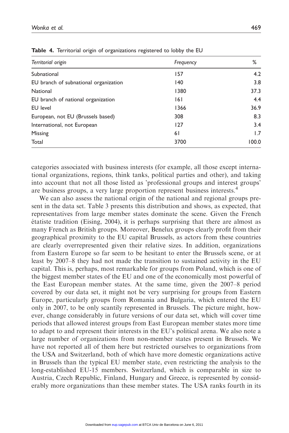| Territorial origin                    | Frequency | %     |
|---------------------------------------|-----------|-------|
| Subnational                           | 157       | 4.2   |
| EU branch of subnational organization | 140       | 3.8   |
| National                              | 1380      | 37.3  |
| EU branch of national organization    | 161       | 4.4   |
| <b>EU</b> level                       | 1366      | 36.9  |
| European, not EU (Brussels based)     | 308       | 8.3   |
| International, not European           | 127       | 3.4   |
| Missing                               | 61        | 1.7   |
| Total                                 | 3700      | 100.0 |

Table 4. Territorial origin of organizations registered to lobby the EU

categories associated with business interests (for example, all those except international organizations, regions, think tanks, political parties and other), and taking into account that not all those listed as 'professional groups and interest groups' are business groups, a very large proportion represent business interests.<sup>4</sup>

We can also assess the national origin of the national and regional groups present in the data set. Table 3 presents this distribution and shows, as expected, that representatives from large member states dominate the scene. Given the French  $\acute{e}$ tatiste tradition (Eising, 2004), it is perhaps surprising that there are almost as many French as British groups. Moreover, Benelux groups clearly profit from their geographical proximity to the EU capital Brussels, as actors from these countries are clearly overrepresented given their relative sizes. In addition, organizations from Eastern Europe so far seem to be hesitant to enter the Brussels scene, or at least by 2007–8 they had not made the transition to sustained activity in the EU capital. This is, perhaps, most remarkable for groups from Poland, which is one of the biggest member states of the EU and one of the economically most powerful of the East European member states. At the same time, given the 2007–8 period covered by our data set, it might not be very surprising for groups from Eastern Europe, particularly groups from Romania and Bulgaria, which entered the EU only in 2007, to be only scantily represented in Brussels. The picture might, however, change considerably in future versions of our data set, which will cover time periods that allowed interest groups from East European member states more time to adapt to and represent their interests in the EU's political arena. We also note a large number of organizations from non-member states present in Brussels. We have not reported all of them here but restricted ourselves to organizations from the USA and Switzerland, both of which have more domestic organizations active in Brussels than the typical EU member state, even restricting the analysis to the long-established EU-15 members. Switzerland, which is comparable in size to Austria, Czech Republic, Finland, Hungary and Greece, is represented by considerably more organizations than these member states. The USA ranks fourth in its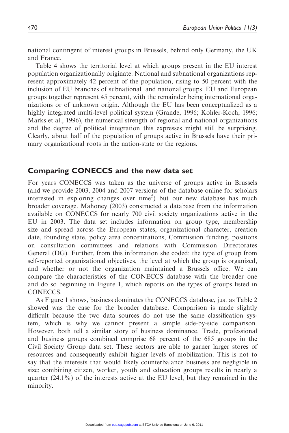national contingent of interest groups in Brussels, behind only Germany, the UK and France.

Table 4 shows the territorial level at which groups present in the EU interest population organizationally originate. National and subnational organizations represent approximately 42 percent of the population, rising to 50 percent with the inclusion of EU branches of subnational and national groups. EU and European groups together represent 45 percent, with the remainder being international organizations or of unknown origin. Although the EU has been conceptualized as a highly integrated multi-level political system (Grande, 1996; Kohler-Koch, 1996; Marks et al., 1996), the numerical strength of regional and national organizations and the degree of political integration this expresses might still be surprising. Clearly, about half of the population of groups active in Brussels have their primary organizational roots in the nation-state or the regions.

#### Comparing CONECCS and the new data set

For years CONECCS was taken as the universe of groups active in Brussels (and we provide 2003, 2004 and 2007 versions of the database online for scholars interested in exploring changes over time<sup>5</sup>) but our new database has much broader coverage. Mahoney (2003) constructed a database from the information available on CONECCS for nearly 700 civil society organizations active in the EU in 2003. The data set includes information on group type, membership size and spread across the European states, organizational character, creation date, founding state, policy area concentrations, Commission funding, positions on consultation committees and relations with Commission Directorates General (DG). Further, from this information she coded: the type of group from self-reported organizational objectives, the level at which the group is organized, and whether or not the organization maintained a Brussels office. We can compare the characteristics of the CONECCS database with the broader one and do so beginning in Figure 1, which reports on the types of groups listed in CONECCS.

As Figure 1 shows, business dominates the CONECCS database, just as Table 2 showed was the case for the broader database. Comparison is made slightly difficult because the two data sources do not use the same classification system, which is why we cannot present a simple side-by-side comparison. However, both tell a similar story of business dominance. Trade, professional and business groups combined comprise 68 percent of the 685 groups in the Civil Society Group data set. These sectors are able to garner larger stores of resources and consequently exhibit higher levels of mobilization. This is not to say that the interests that would likely counterbalance business are negligible in size; combining citizen, worker, youth and education groups results in nearly a quarter  $(24.1\%)$  of the interests active at the EU level, but they remained in the minority.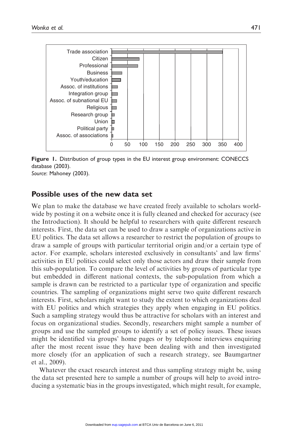

Figure 1. Distribution of group types in the EU interest group environment: CONECCS database (2003). Source: Mahoney (2003).

#### Possible uses of the new data set

We plan to make the database we have created freely available to scholars worldwide by posting it on a website once it is fully cleaned and checked for accuracy (see the Introduction). It should be helpful to researchers with quite different research interests. First, the data set can be used to draw a sample of organizations active in EU politics. The data set allows a researcher to restrict the population of groups to draw a sample of groups with particular territorial origin and/or a certain type of actor. For example, scholars interested exclusively in consultants' and law firms' activities in EU politics could select only those actors and draw their sample from this sub-population. To compare the level of activities by groups of particular type but embedded in different national contexts, the sub-population from which a sample is drawn can be restricted to a particular type of organization and specific countries. The sampling of organizations might serve two quite different research interests. First, scholars might want to study the extent to which organizations deal with EU politics and which strategies they apply when engaging in EU politics. Such a sampling strategy would thus be attractive for scholars with an interest and focus on organizational studies. Secondly, researchers might sample a number of groups and use the sampled groups to identify a set of policy issues. These issues might be identified via groups' home pages or by telephone interviews enquiring after the most recent issue they have been dealing with and then investigated more closely (for an application of such a research strategy, see Baumgartner et al., 2009).

Whatever the exact research interest and thus sampling strategy might be, using the data set presented here to sample a number of groups will help to avoid introducing a systematic bias in the groups investigated, which might result, for example,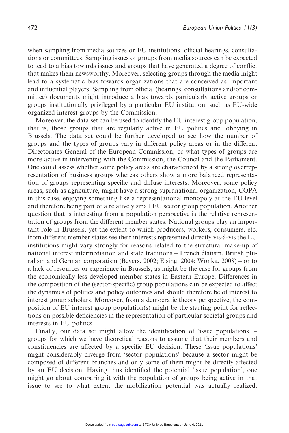when sampling from media sources or EU institutions' official hearings, consultations or committees. Sampling issues or groups from media sources can be expected to lead to a bias towards issues and groups that have generated a degree of conflict that makes them newsworthy. Moreover, selecting groups through the media might lead to a systematic bias towards organizations that are conceived as important and influential players. Sampling from official (hearings, consultations and/or committee) documents might introduce a bias towards particularly active groups or groups institutionally privileged by a particular EU institution, such as EU-wide organized interest groups by the Commission.

Moreover, the data set can be used to identify the EU interest group population, that is, those groups that are regularly active in EU politics and lobbying in Brussels. The data set could be further developed to see how the number of groups and the types of groups vary in different policy areas or in the different Directorates General of the European Commission, or what types of groups are more active in intervening with the Commission, the Council and the Parliament. One could assess whether some policy areas are characterized by a strong overrepresentation of business groups whereas others show a more balanced representation of groups representing specific and diffuse interests. Moreover, some policy areas, such as agriculture, might have a strong supranational organization, COPA in this case, enjoying something like a representational monopoly at the EU level and therefore being part of a relatively small EU sector group population. Another question that is interesting from a population perspective is the relative representation of groups from the different member states. National groups play an important role in Brussels, yet the extent to which producers, workers, consumers, etc. from different member states see their interests represented directly vis-a`-vis the EU institutions might vary strongly for reasons related to the structural make-up of national interest intermediation and state traditions – French étatism, British pluralism and German corporatism (Beyers, 2002; Eising, 2004; Wonka, 2008) – or to a lack of resources or experience in Brussels, as might be the case for groups from the economically less developed member states in Eastern Europe. Differences in the composition of the (sector-specific) group populations can be expected to affect the dynamics of politics and policy outcomes and should therefore be of interest to interest group scholars. Moreover, from a democratic theory perspective, the composition of EU interest group population(s) might be the starting point for reflections on possible deficiencies in the representation of particular societal groups and interests in EU politics.

Finally, our data set might allow the identification of 'issue populations' – groups for which we have theoretical reasons to assume that their members and constituencies are affected by a specific EU decision. These 'issue populations' might considerably diverge from 'sector populations' because a sector might be composed of different branches and only some of them might be directly affected by an EU decision. Having thus identified the potential 'issue population', one might go about comparing it with the population of groups being active in that issue to see to what extent the mobilization potential was actually realized.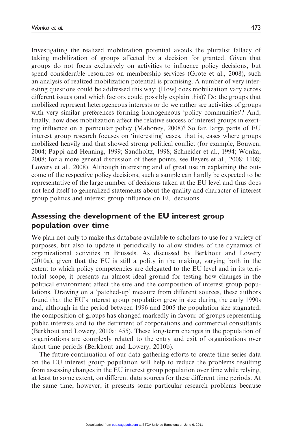Investigating the realized mobilization potential avoids the pluralist fallacy of taking mobilization of groups affected by a decision for granted. Given that groups do not focus exclusively on activities to influence policy decisions, but spend considerable resources on membership services (Grote et al., 2008), such an analysis of realized mobilization potential is promising. A number of very interesting questions could be addressed this way: (How) does mobilization vary across different issues (and which factors could possibly explain this)? Do the groups that mobilized represent heterogeneous interests or do we rather see activities of groups with very similar preferences forming homogeneous 'policy communities'? And, finally, how does mobilization affect the relative success of interest groups in exerting influence on a particular policy (Mahoney, 2008)? So far, large parts of EU interest group research focuses on 'interesting' cases, that is, cases where groups mobilized heavily and that showed strong political conflict (for example, Bouwen, 2004; Pappi and Henning, 1999; Sandholtz, 1998; Schneider et al., 1994; Wonka, 2008; for a more general discussion of these points, see Beyers et al., 2008: 1108; Lowery et al., 2008). Although interesting and of great use in explaining the outcome of the respective policy decisions, such a sample can hardly be expected to be representative of the large number of decisions taken at the EU level and thus does not lend itself to generalized statements about the quality and character of interest group politics and interest group influence on EU decisions.

## Assessing the development of the EU interest group population over time

We plan not only to make this database available to scholars to use for a variety of purposes, but also to update it periodically to allow studies of the dynamics of organizational activities in Brussels. As discussed by Berkhout and Lowery (2010a), given that the EU is still a polity in the making, varying both in the extent to which policy competencies are delegated to the EU level and in its territorial scope, it presents an almost ideal ground for testing how changes in the political environment affect the size and the composition of interest group populations. Drawing on a 'patched-up' measure from different sources, these authors found that the EU's interest group population grew in size during the early 1990s and, although in the period between 1996 and 2005 the population size stagnated, the composition of groups has changed markedly in favour of groups representing public interests and to the detriment of corporations and commercial consultants (Berkhout and Lowery, 2010a: 455). These long-term changes in the population of organizations are complexly related to the entry and exit of organizations over short time periods (Berkhout and Lowery, 2010b).

The future continuation of our data-gathering efforts to create time-series data on the EU interest group population will help to reduce the problems resulting from assessing changes in the EU interest group population over time while relying, at least to some extent, on different data sources for these different time periods. At the same time, however, it presents some particular research problems because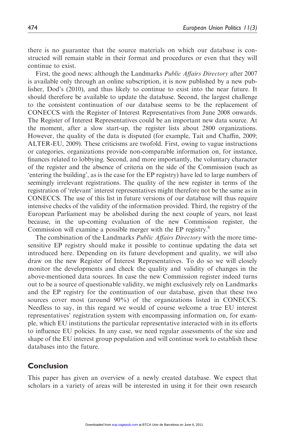there is no guarantee that the source materials on which our database is constructed will remain stable in their format and procedures or even that they will continue to exist.

First, the good news: although the Landmarks *Public Affairs Directory* after 2007 is available only through an online subscription, it is now published by a new publisher, Dod's (2010), and thus likely to continue to exist into the near future. It should therefore be available to update the database. Second, the largest challenge to the consistent continuation of our database seems to be the replacement of CONECCS with the Register of Interest Representatives from June 2008 onwards. The Register of Interest Representatives could be an important new data source. At the moment, after a slow start-up, the register lists about 2800 organizations. However, the quality of the data is disputed (for example, Tait and Chaffin, 2009; ALTER-EU, 2009). These criticisms are twofold. First, owing to vague instructions or categories, organizations provide non-comparable information on, for instance, finances related to lobbying. Second, and more importantly, the voluntary character of the register and the absence of criteria on the side of the Commission (such as 'entering the building', as is the case for the EP registry) have led to large numbers of seemingly irrelevant registrations. The quality of the new register in terms of the registration of 'relevant' interest representatives might therefore not be the same as in CONECCS. The use of this list in future versions of our database will thus require intensive checks of the validity of the information provided. Third, the registry of the European Parliament may be abolished during the next couple of years, not least because, in the up-coming evaluation of the new Commission register, the Commission will examine a possible merger with the EP registry.<sup>6</sup>

The combination of the Landmarks *Public Affairs Directory* with the more timesensitive EP registry should make it possible to continue updating the data set introduced here. Depending on its future development and quality, we will also draw on the new Register of Interest Representatives. To do so we will closely monitor the developments and check the quality and validity of changes in the above-mentioned data sources. In case the new Commission register indeed turns out to be a source of questionable validity, we might exclusively rely on Landmarks and the EP registry for the continuation of our database, given that these two sources cover most (around 90%) of the organizations listed in CONECCS. Needless to say, in this regard we would of course welcome a true EU interest representatives' registration system with encompassing information on, for example, which EU institutions the particular representative interacted with in its efforts to influence EU policies. In any case, we need regular assessments of the size and shape of the EU interest group population and will continue work to establish these databases into the future.

#### Conclusion

This paper has given an overview of a newly created database. We expect that scholars in a variety of areas will be interested in using it for their own research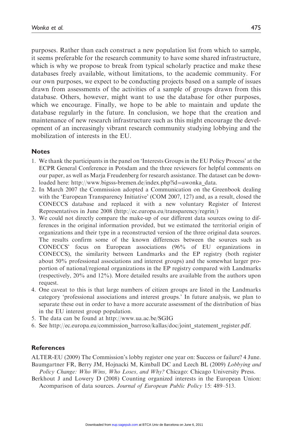purposes. Rather than each construct a new population list from which to sample, it seems preferable for the research community to have some shared infrastructure, which is why we propose to break from typical scholarly practice and make these databases freely available, without limitations, to the academic community. For our own purposes, we expect to be conducting projects based on a sample of issues drawn from assessments of the activities of a sample of groups drawn from this database. Others, however, might want to use the database for other purposes, which we encourage. Finally, we hope to be able to maintain and update the database regularly in the future. In conclusion, we hope that the creation and maintenance of new research infrastructure such as this might encourage the development of an increasingly vibrant research community studying lobbying and the mobilization of interests in the EU.

#### **Notes**

- 1. We thank the participants in the panel on 'Interests Groups in the EU Policy Process' at the ECPR General Conference in Potsdam and the three reviewers for helpful comments on our paper, as well as Marja Freudenberg for research assistance. The dataset can be downloaded here: http://www.bigsss-bremen.de/index.php?id=awonka\_data.
- 2. In March 2007 the Commission adopted a Communication on the Greenbook dealing with the 'European Transparency Initiative' (COM 2007, 127) and, as a result, closed the CONECCS database and replaced it with a new voluntary Register of Interest Representatives in June 2008 (http://ec.europa.eu/transparency/regrin/)
- 3. We could not directly compare the make-up of our different data sources owing to differences in the original information provided, but we estimated the territorial origin of organizations and their type in a reconstructed version of the three original data sources. The results confirm some of the known differences between the sources such as CONECCS' focus on European associations (96% of EU organizations in CONECCS), the similarity between Landmarks and the EP registry (both register about 50% professional associations and interest groups) and the somewhat larger proportion of national/regional organizations in the EP registry compared with Landmarks (respectively, 20% and 12%). More detailed results are available from the authors upon request.
- 4. One caveat to this is that large numbers of citizen groups are listed in the Landmarks category 'professional associations and interest groups.' In future analysis, we plan to separate these out in order to have a more accurate assessment of the distribution of bias in the EU interest group population.
- 5. The data can be found at http://www.ua.ac.be/SGIG
- 6. See http://ec.europa.eu/commission\_barroso/kallas/doc/joint\_statement\_register.pdf.

#### References

ALTER-EU (2009) The Commission's lobby register one year on: Success or failure? 4 June. Baumgartner FR, Berry JM, Hojnacki M, Kimball DC and Leech BL (2009) Lobbying and

Policy Change: Who Wins, Who Loses, and Why? Chicago: Chicago University Press.

Berkhout J and Lowery D (2008) Counting organized interests in the European Union: Acomparison of data sources. Journal of European Public Policy 15: 489–513.